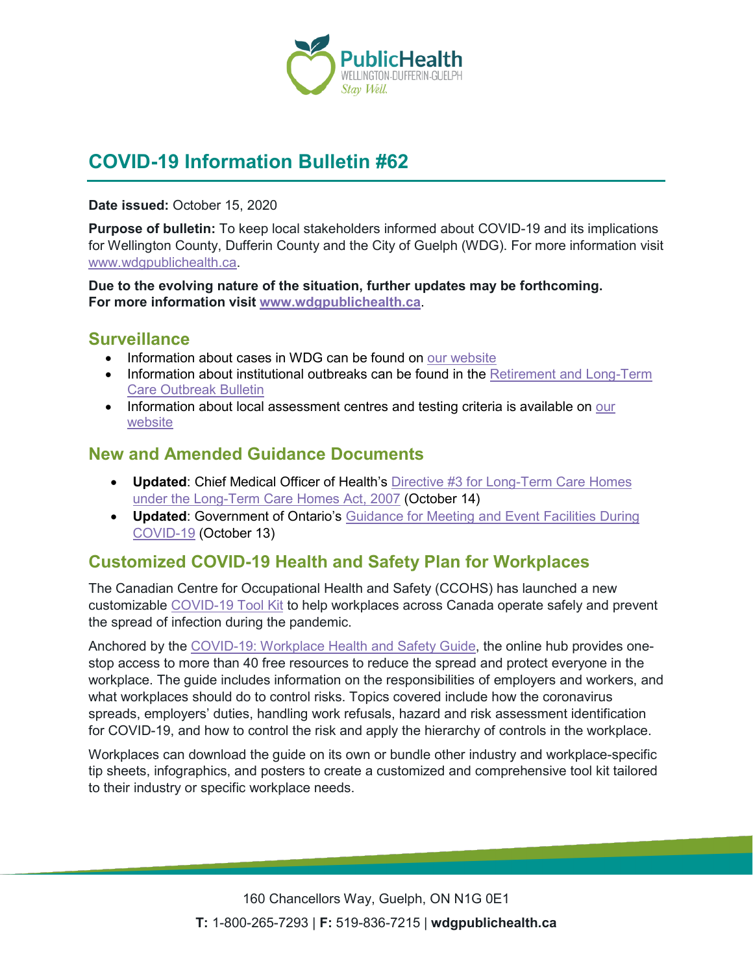

# **COVID-19 Information Bulletin #62**

**Date issued:** October 15, 2020

**Purpose of bulletin:** To keep local stakeholders informed about COVID-19 and its implications for Wellington County, Dufferin County and the City of Guelph (WDG). For more information visit [www.wdgpublichealth.ca.](http://www.wdgpublichealth.ca/)

**Due to the evolving nature of the situation, further updates may be forthcoming. For more information visit [www.wdgpublichealth.ca](http://www.wdgpublichealth.ca/)**.

#### **Surveillance**

- Information about cases in WDG can be found on [our website](https://wdgpublichealth.ca/your-health/covid-19-information-public/status-cases-wdg)
- Information about institutional outbreaks can be found in the Retirement and Long-Term [Care Outbreak Bulletin](https://wdgpublichealth.ca/node/1542)
- Information about local assessment centres and testing criteria is available on our [website](https://www.wdgpublichealth.ca/your-health/covid-19-information-public/assessment-centres-wdg)

#### **New and Amended Guidance Documents**

- **Updated**: Chief Medical Officer of Health's [Directive #3 for Long-Term Care Homes](http://www.health.gov.on.ca/en/pro/programs/publichealth/coronavirus/docs/directives/LTCH_HPPA.pdf)  [under the Long-Term Care Homes Act, 2007](http://www.health.gov.on.ca/en/pro/programs/publichealth/coronavirus/docs/directives/LTCH_HPPA.pdf) (October 14)
- **Updated**: Government of Ontario's [Guidance for Meeting and Event Facilities During](https://www.ontario.ca/page/guidance-meeting-and-event-facilities-during-covid-19)  [COVID-19](https://www.ontario.ca/page/guidance-meeting-and-event-facilities-during-covid-19) (October 13)

## **Customized COVID-19 Health and Safety Plan for Workplaces**

The Canadian Centre for Occupational Health and Safety (CCOHS) has launched a new customizable [COVID-19](http://www.ccohs.ca/products/publications/covid19-tool-kit/) Tool Kit to help workplaces across Canada operate safely and prevent the spread of infection during the pandemic.

Anchored by the [COVID-19: Workplace Health and Safety Guide,](https://www.ccohs.ca/products/publications/pdf/pandemiccovid19/covid-health-safety-guide.pdf) the online hub provides onestop access to more than 40 free resources to reduce the spread and protect everyone in the workplace. The guide includes information on the responsibilities of employers and workers, and what workplaces should do to control risks. Topics covered include how the coronavirus spreads, employers' duties, handling work refusals, hazard and risk assessment identification for COVID-19, and how to control the risk and apply the hierarchy of controls in the workplace.

Workplaces can download the guide on its own or bundle other industry and workplace-specific tip sheets, infographics, and posters to create a customized and comprehensive tool kit tailored to their industry or specific workplace needs.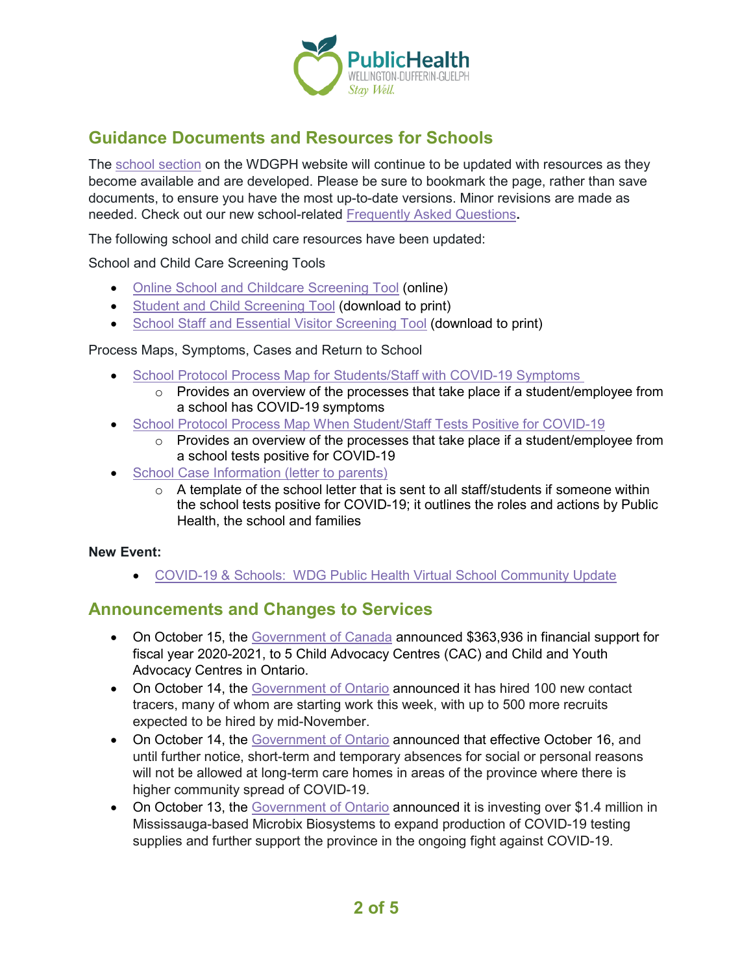

## **Guidance Documents and Resources for Schools**

The [school section](https://www.wdgpublichealth.ca/your-health/covid-19-information-schools-parents-and-teachers/schools-and-post-secondary) on the WDGPH website will continue to be updated with resources as they become available and are developed. Please be sure to bookmark the page, rather than save documents, to ensure you have the most up-to-date versions. Minor revisions are made as needed. Check out our new school-related [Frequently Asked Questions](https://www.wdgpublichealth.ca/your-health/covid-19-information-schools-parents-and-teachers/schools-frequently-asked-questions)**.**

The following school and child care resources have been updated:

School and Child Care Screening Tools

- [Online School and Childcare Screening Tool](https://covid-19.ontario.ca/school-screening/) (online)
- [Student and Child Screening Tool](https://covid-19.ontario.ca/covid19-cms-assets/2020-10/Printable%20school%20and%20child%20care%20screening_en.pdf) (download to print)
- [School Staff and Essential Visitor Screening Tool](https://covid-19.ontario.ca/covid19-cms-assets/2020-10/Printable%20school%20and%20child%20care%20staff%20screening_en.pdf) (download to print)

Process Maps, Symptoms, Cases and Return to School

- [School Protocol Process Map for Students/Staff with](https://www.wdgpublichealth.ca/sites/default/files/wdg_school_protocol_process_map_for_students_staff_with_covid-19_symptoms.pdf) COVID-19 Symptoms
	- $\circ$  Provides an overview of the processes that take place if a student/employee from a school has COVID-19 symptoms
- [School Protocol Process Map When Student/Staff Tests Positive for](https://www.wdgpublichealth.ca/sites/default/files/wdg_school_protocol_process_map_when_student-staff_tests_positive_for_covid-19.pdf) COVID-19
	- o Provides an overview of the processes that take place if a student/employee from a school tests positive for COVID-19
- **[School Case Information \(letter to](https://www.wdgpublichealth.ca/sites/default/files/wdg_school_case_information_letter_to_parents.pdf) parents)** 
	- $\circ$  A template of the school letter that is sent to all staff/students if someone within the school tests positive for COVID-19; it outlines the roles and actions by Public Health, the school and families

#### **New Event:**

• COVID-19 & Schools: [WDG Public Health Virtual School Community Update](https://www.eventbrite.ca/e/covid-19-schools-wdg-public-health-virtual-school-community-update-registration-125484231715)

### **Announcements and Changes to Services**

- On October 15, the [Government of Canada](https://www.canada.ca/en/department-justice/news/2020/10/government-of-canada-increases-support-in-ontario-for-child-and-youth-victims-of-abuse-and-violence-in-response-to-the-covid-19-pandemic.html) announced \$363,936 in financial support for fiscal year 2020-2021, to 5 Child Advocacy Centres (CAC) and Child and Youth Advocacy Centres in Ontario.
- On October 14, the [Government of Ontario](https://news.ontario.ca/en/release/58807/ontario-hiring-hundreds-more-contact-tracers-and-case-managers) announced it has hired 100 new contact tracers, many of whom are starting work this week, with up to 500 more recruits expected to be hired by mid-November.
- On October 14, the [Government of](https://news.ontario.ca/en/release/58803/outings-on-hold-for-long-term-care-homes-in-areas-of-higher-community-spread) Ontario announced that effective October 16, and until further notice, short-term and temporary absences for social or personal reasons will not be allowed at long-term care homes in areas of the province where there is higher community spread of COVID-19.
- On October 13, the [Government of Ontario](https://news.ontario.ca/en/release/58795/ontario-increases-production-of-covid-19-testing-supplies) announced it is investing over \$1.4 million in Mississauga-based Microbix Biosystems to expand production of COVID-19 testing supplies and further support the province in the ongoing fight against COVID-19.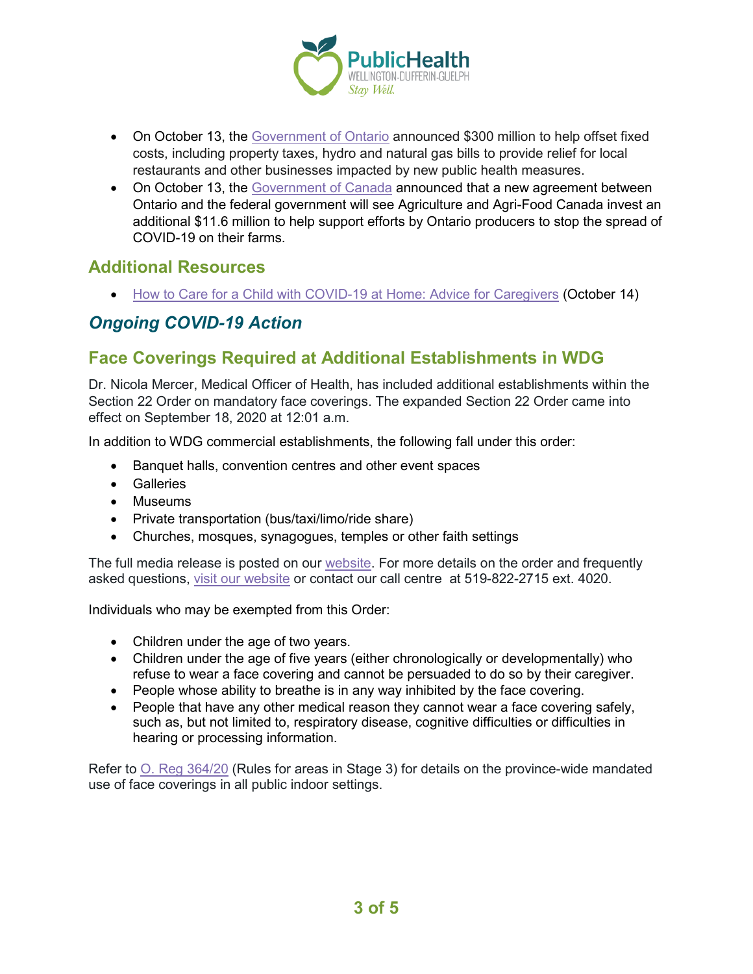

- On October 13, the [Government of Ontario](https://news.ontario.ca/en/release/58790/ontario-continues-to-support-restaurants-during-covid-19-pandemic) announced \$300 million to help offset fixed costs, including property taxes, hydro and natural gas bills to provide relief for local restaurants and other businesses impacted by new public health measures.
- On October 13, the [Government of Canada](https://www.canada.ca/en/agriculture-agri-food/news/2020/10/governments-investing-266-million-to-further-protect-ontario-agri-food-workers-during-covid-19.html) announced that a new agreement between Ontario and the federal government will see Agriculture and Agri-Food Canada invest an additional \$11.6 million to help support efforts by Ontario producers to stop the spread of COVID-19 on their farms.

#### **Additional Resources**

• [How to Care for a Child with COVID-19 at Home: Advice for Caregivers](https://www.canada.ca/en/public-health/services/publications/diseases-conditions/how-to-care-for-child-with-covid-19-at-home-advice-for-caregivers.html) (October 14)

## *Ongoing COVID-19 Action*

## **Face Coverings Required at Additional Establishments in WDG**

Dr. Nicola Mercer, Medical Officer of Health, has included additional establishments within the Section 22 Order on mandatory face coverings. The expanded Section 22 Order came into effect on September 18, 2020 at 12:01 a.m.

In addition to WDG commercial establishments, the following fall under this order:

- Banquet halls, convention centres and other event spaces
- Galleries
- Museums
- Private transportation (bus/taxi/limo/ride share)
- Churches, mosques, synagogues, temples or other faith settings

The full media release is posted on our [website.](https://www.wdgpublichealth.ca/news/increasing-cases-our-region-prompt-updates-dr-nicola-mercer%E2%80%99s-section-22-order) For more details on the order and frequently asked questions, [visit our website](https://www.wdgpublichealth.ca/your-health/covid-19-information-public/face-coverings-class-order-and-faqs) or contact our call centre at 519-822-2715 ext. 4020.

Individuals who may be exempted from this Order:

- Children under the age of two years.
- Children under the age of five years (either chronologically or developmentally) who refuse to wear a face covering and cannot be persuaded to do so by their caregiver.
- People whose ability to breathe is in any way inhibited by the face covering.
- People that have any other medical reason they cannot wear a face covering safely, such as, but not limited to, respiratory disease, cognitive difficulties or difficulties in hearing or processing information.

Refer to [O. Reg 364/20](https://www.ontario.ca/laws/regulation/200364) (Rules for areas in Stage 3) for details on the province-wide mandated use of face coverings in all public indoor settings.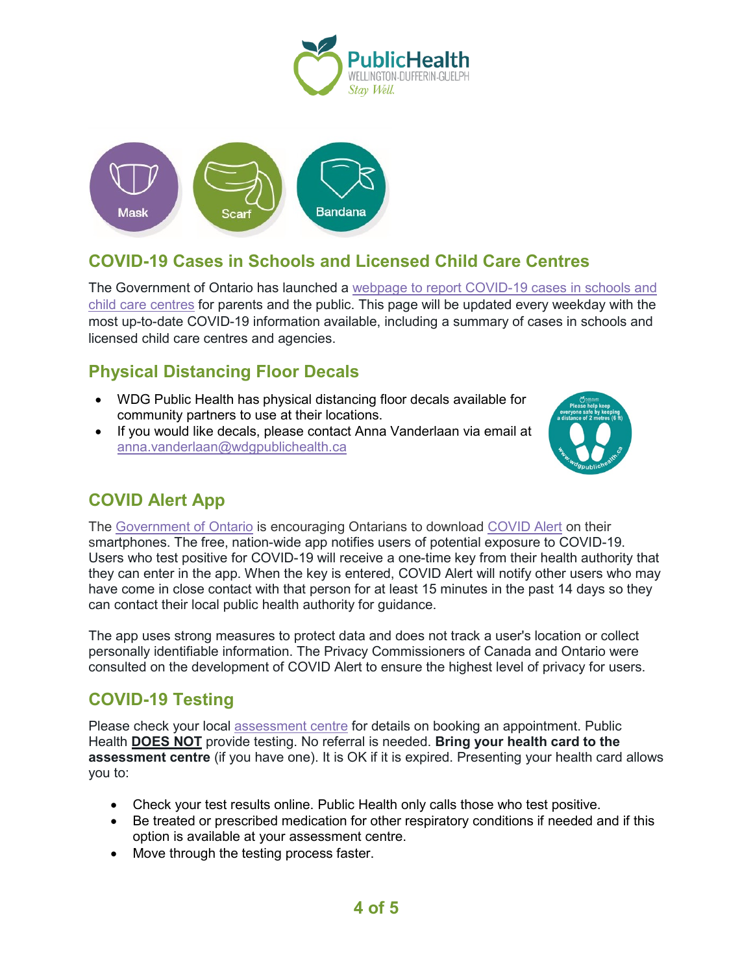



## **COVID-19 Cases in Schools and Licensed Child Care Centres**

The Government of Ontario has launched a [webpage to report COVID-19 cases in schools and](https://www.ontario.ca/page/covid-19-cases-schools-and-child-care-centres)  [child care centres](https://www.ontario.ca/page/covid-19-cases-schools-and-child-care-centres) for parents and the public. This page will be updated every weekday with the most up-to-date COVID-19 information available, including a summary of cases in schools and licensed child care centres and agencies.

## **Physical Distancing Floor Decals**

- WDG Public Health has physical distancing floor decals available for community partners to use at their locations.
- If you would like decals, please contact Anna Vanderlaan via email at [anna.vanderlaan@wdgpublichealth.ca](mailto:anna.vanderlaan@wdgpublichealth.ca)



## **COVID Alert App**

The [Government of Ontario](https://news.ontario.ca/opo/en/2020/07/covid-alert-available-for-download-beginning-today.html) is encouraging Ontarians to download [COVID Alert](https://covid-19.ontario.ca/covidalert?_ga=2.68068817.1702415536.1596548534-1123331746.1579028832) on their smartphones. The free, nation-wide app notifies users of potential exposure to COVID-19. Users who test positive for COVID-19 will receive a one-time key from their health authority that they can enter in the app. When the key is entered, COVID Alert will notify other users who may have come in close contact with that person for at least 15 minutes in the past 14 days so they can contact their local public health authority for guidance.

The app uses strong measures to protect data and does not track a user's location or collect personally identifiable information. The Privacy Commissioners of Canada and Ontario were consulted on the development of COVID Alert to ensure the highest level of privacy for users.

### **COVID-19 Testing**

Please check your local [assessment centre](https://wdgpublichealth.ca/your-health/covid-19-information-public/assessment-centres-wdg) for details on booking an appointment. Public Health **DOES NOT** provide testing. No referral is needed. **Bring your health card to the assessment centre** (if you have one). It is OK if it is expired. Presenting your health card allows you to:

- Check your test results online. Public Health only calls those who test positive.
- Be treated or prescribed medication for other respiratory conditions if needed and if this option is available at your assessment centre.
- Move through the testing process faster.